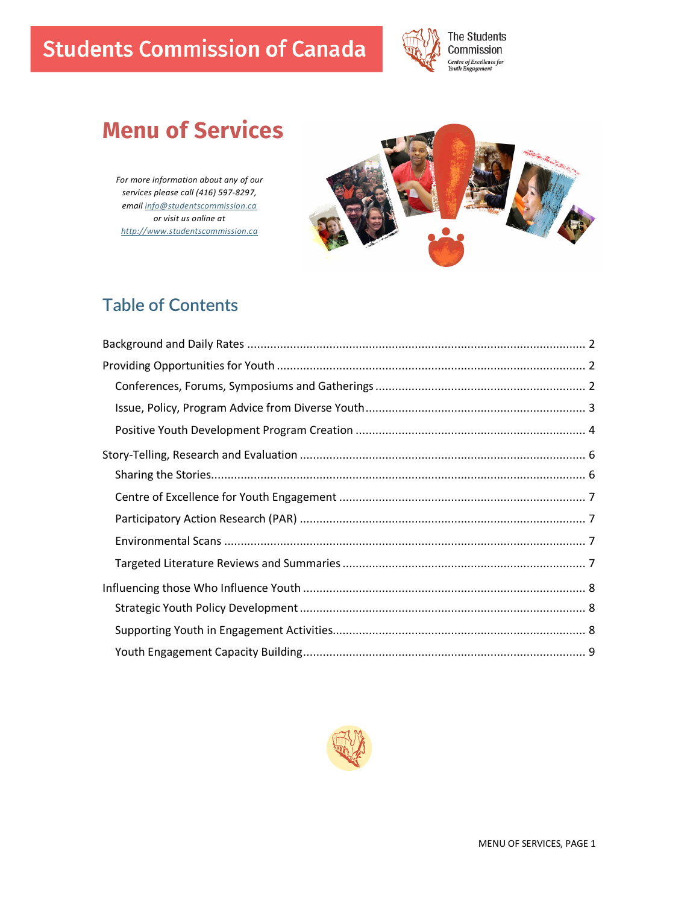# **Students Commission of Canada**



# **Menu of Services**

*For more information about any of our services please call (416) 597-8297, email info@studentscommission.ca or visit us online at http://www.studentscommission.ca*



# **Table of Contents**

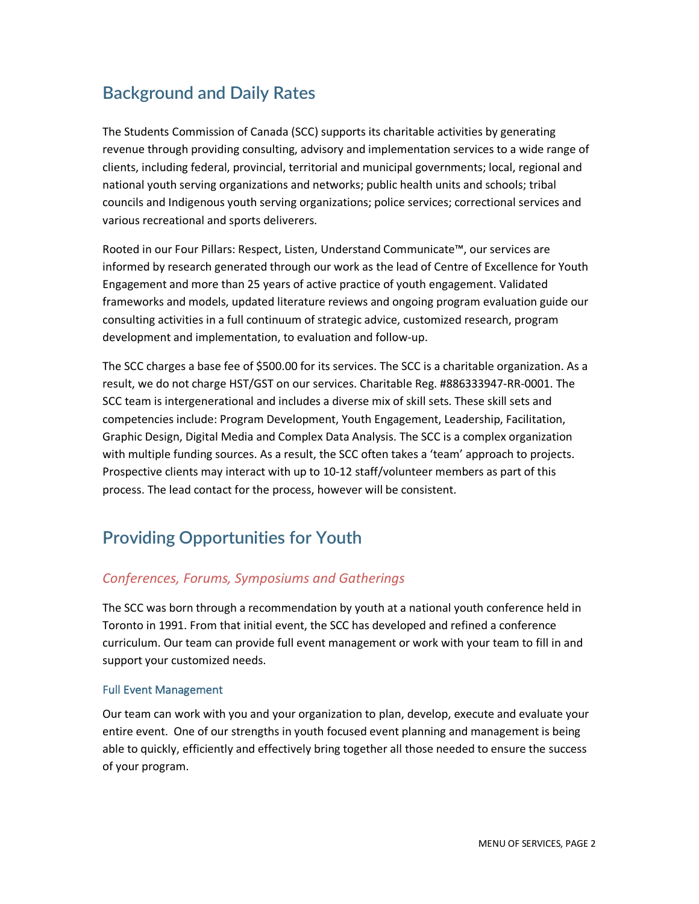# **Background and Daily Rates**

The Students Commission of Canada (SCC) supports its charitable activities by generating revenue through providing consulting, advisory and implementation services to a wide range of clients, including federal, provincial, territorial and municipal governments; local, regional and national youth serving organizations and networks; public health units and schools; tribal councils and Indigenous youth serving organizations; police services; correctional services and various recreational and sports deliverers.

Rooted in our Four Pillars: Respect, Listen, Understand Communicate™, our services are informed by research generated through our work as the lead of Centre of Excellence for Youth Engagement and more than 25 years of active practice of youth engagement. Validated frameworks and models, updated literature reviews and ongoing program evaluation guide our consulting activities in a full continuum of strategic advice, customized research, program development and implementation, to evaluation and follow-up.

The SCC charges a base fee of \$500.00 for its services. The SCC is a charitable organization. As a result, we do not charge HST/GST on our services. Charitable Reg. #886333947-RR-0001. The SCC team is intergenerational and includes a diverse mix of skill sets. These skill sets and competencies include: Program Development, Youth Engagement, Leadership, Facilitation, Graphic Design, Digital Media and Complex Data Analysis. The SCC is a complex organization with multiple funding sources. As a result, the SCC often takes a 'team' approach to projects. Prospective clients may interact with up to 10-12 staff/volunteer members as part of this process. The lead contact for the process, however will be consistent.

# **Providing Opportunities for Youth**

# *Conferences, Forums, Symposiums and Gatherings*

The SCC was born through a recommendation by youth at a national youth conference held in Toronto in 1991. From that initial event, the SCC has developed and refined a conference curriculum. Our team can provide full event management or work with your team to fill in and support your customized needs.

### Full Event Management

Our team can work with you and your organization to plan, develop, execute and evaluate your entire event. One of our strengths in youth focused event planning and management is being able to quickly, efficiently and effectively bring together all those needed to ensure the success of your program.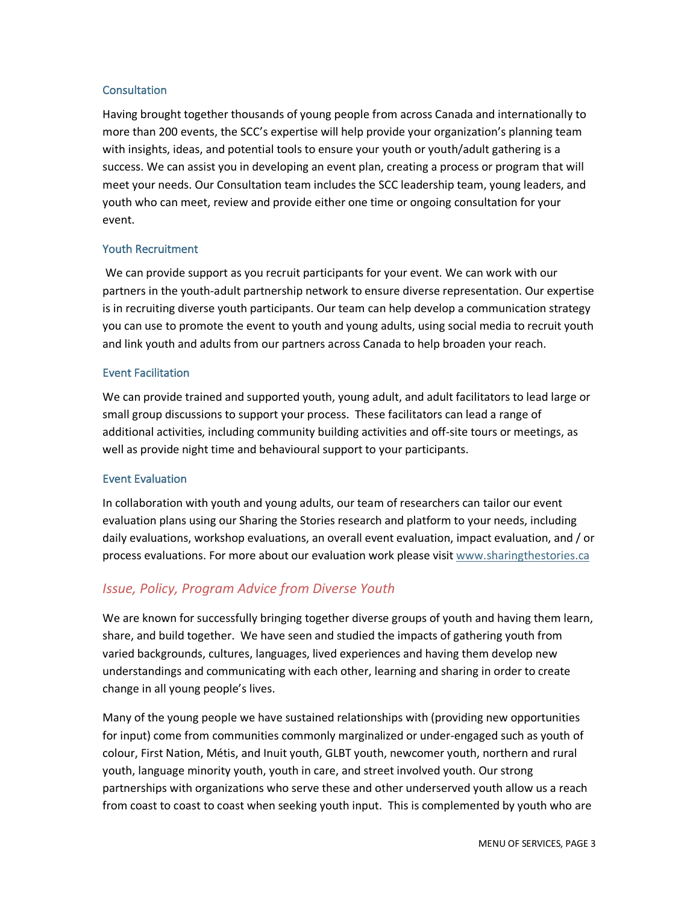#### **Consultation**

Having brought together thousands of young people from across Canada and internationally to more than 200 events, the SCC's expertise will help provide your organization's planning team with insights, ideas, and potential tools to ensure your youth or youth/adult gathering is a success. We can assist you in developing an event plan, creating a process or program that will meet your needs. Our Consultation team includes the SCC leadership team, young leaders, and youth who can meet, review and provide either one time or ongoing consultation for your event.

### Youth Recruitment

We can provide support as you recruit participants for your event. We can work with our partners in the youth-adult partnership network to ensure diverse representation. Our expertise is in recruiting diverse youth participants. Our team can help develop a communication strategy you can use to promote the event to youth and young adults, using social media to recruit youth and link youth and adults from our partners across Canada to help broaden your reach.

### Event Facilitation

We can provide trained and supported youth, young adult, and adult facilitators to lead large or small group discussions to support your process. These facilitators can lead a range of additional activities, including community building activities and off-site tours or meetings, as well as provide night time and behavioural support to your participants.

### Event Evaluation

In collaboration with youth and young adults, our team of researchers can tailor our event evaluation plans using our Sharing the Stories research and platform to your needs, including daily evaluations, workshop evaluations, an overall event evaluation, impact evaluation, and / or process evaluations. For more about our evaluation work please visit www.sharingthestories.ca

### *Issue, Policy, Program Advice from Diverse Youth*

We are known for successfully bringing together diverse groups of youth and having them learn, share, and build together. We have seen and studied the impacts of gathering youth from varied backgrounds, cultures, languages, lived experiences and having them develop new understandings and communicating with each other, learning and sharing in order to create change in all young people's lives.

Many of the young people we have sustained relationships with (providing new opportunities for input) come from communities commonly marginalized or under-engaged such as youth of colour, First Nation, Métis, and Inuit youth, GLBT youth, newcomer youth, northern and rural youth, language minority youth, youth in care, and street involved youth. Our strong partnerships with organizations who serve these and other underserved youth allow us a reach from coast to coast to coast when seeking youth input. This is complemented by youth who are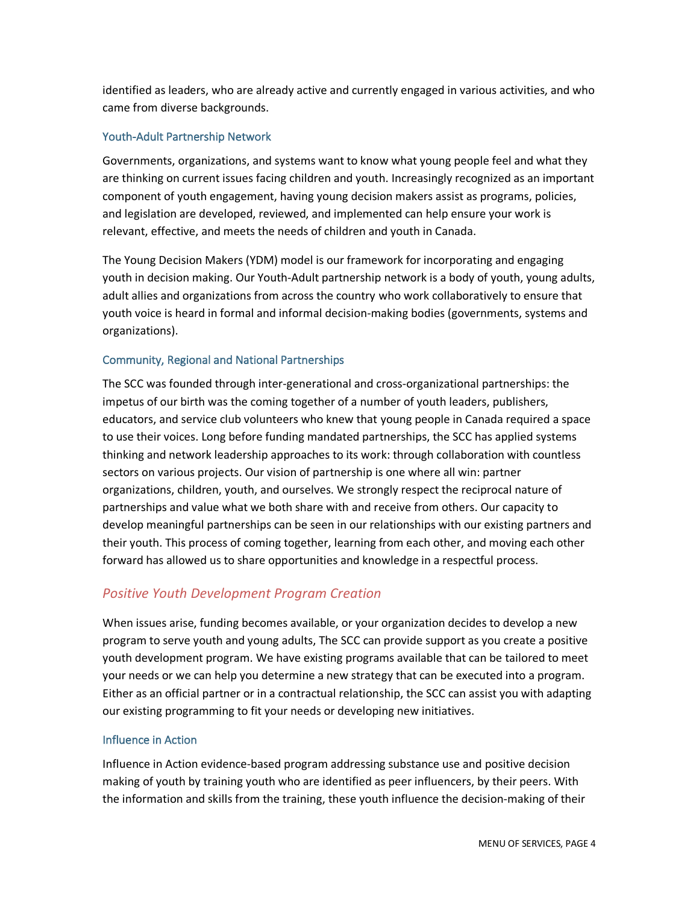identified as leaders, who are already active and currently engaged in various activities, and who came from diverse backgrounds.

### Youth-Adult Partnership Network

Governments, organizations, and systems want to know what young people feel and what they are thinking on current issues facing children and youth. Increasingly recognized as an important component of youth engagement, having young decision makers assist as programs, policies, and legislation are developed, reviewed, and implemented can help ensure your work is relevant, effective, and meets the needs of children and youth in Canada.

The Young Decision Makers (YDM) model is our framework for incorporating and engaging youth in decision making. Our Youth-Adult partnership network is a body of youth, young adults, adult allies and organizations from across the country who work collaboratively to ensure that youth voice is heard in formal and informal decision-making bodies (governments, systems and organizations).

### Community, Regional and National Partnerships

The SCC was founded through inter-generational and cross-organizational partnerships: the impetus of our birth was the coming together of a number of youth leaders, publishers, educators, and service club volunteers who knew that young people in Canada required a space to use their voices. Long before funding mandated partnerships, the SCC has applied systems thinking and network leadership approaches to its work: through collaboration with countless sectors on various projects. Our vision of partnership is one where all win: partner organizations, children, youth, and ourselves. We strongly respect the reciprocal nature of partnerships and value what we both share with and receive from others. Our capacity to develop meaningful partnerships can be seen in our relationships with our existing partners and their youth. This process of coming together, learning from each other, and moving each other forward has allowed us to share opportunities and knowledge in a respectful process.

# *Positive Youth Development Program Creation*

When issues arise, funding becomes available, or your organization decides to develop a new program to serve youth and young adults, The SCC can provide support as you create a positive youth development program. We have existing programs available that can be tailored to meet your needs or we can help you determine a new strategy that can be executed into a program. Either as an official partner or in a contractual relationship, the SCC can assist you with adapting our existing programming to fit your needs or developing new initiatives.

### Influence in Action

Influence in Action evidence-based program addressing substance use and positive decision making of youth by training youth who are identified as peer influencers, by their peers. With the information and skills from the training, these youth influence the decision-making of their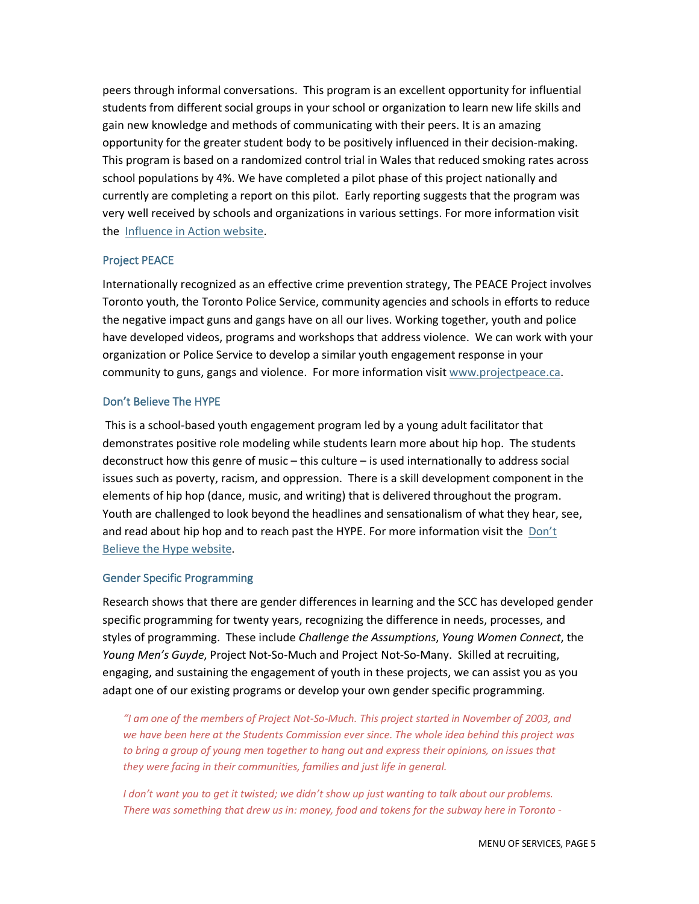peers through informal conversations. This program is an excellent opportunity for influential students from different social groups in your school or organization to learn new life skills and gain new knowledge and methods of communicating with their peers. It is an amazing opportunity for the greater student body to be positively influenced in their decision-making. This program is based on a randomized control trial in Wales that reduced smoking rates across school populations by 4%. We have completed a pilot phase of this project nationally and currently are completing a report on this pilot. Early reporting suggests that the program was very well received by schools and organizations in various settings. For more information visit the Influence in Action website.

#### Project PEACE

Internationally recognized as an effective crime prevention strategy, The PEACE Project involves Toronto youth, the Toronto Police Service, community agencies and schools in efforts to reduce the negative impact guns and gangs have on all our lives. Working together, youth and police have developed videos, programs and workshops that address violence. We can work with your organization or Police Service to develop a similar youth engagement response in your community to guns, gangs and violence. For more information visit www.projectpeace.ca.

#### Don't Believe The HYPE

This is a school-based youth engagement program led by a young adult facilitator that demonstrates positive role modeling while students learn more about hip hop. The students deconstruct how this genre of music – this culture – is used internationally to address social issues such as poverty, racism, and oppression. There is a skill development component in the elements of hip hop (dance, music, and writing) that is delivered throughout the program. Youth are challenged to look beyond the headlines and sensationalism of what they hear, see, and read about hip hop and to reach past the HYPE. For more information visit the Don't Believe the Hype website.

### Gender Specific Programming

Research shows that there are gender differences in learning and the SCC has developed gender specific programming for twenty years, recognizing the difference in needs, processes, and styles of programming. These include *Challenge the Assumptions*, *Young Women Connect*, the *Young Men's Guyde*, Project Not-So-Much and Project Not-So-Many. Skilled at recruiting, engaging, and sustaining the engagement of youth in these projects, we can assist you as you adapt one of our existing programs or develop your own gender specific programming.

*"I am one of the members of Project Not-So-Much. This project started in November of 2003, and we have been here at the Students Commission ever since. The whole idea behind this project was to bring a group of young men together to hang out and express their opinions, on issues that they were facing in their communities, families and just life in general.*

*I don't want you to get it twisted; we didn't show up just wanting to talk about our problems. There was something that drew us in: money, food and tokens for the subway here in Toronto -*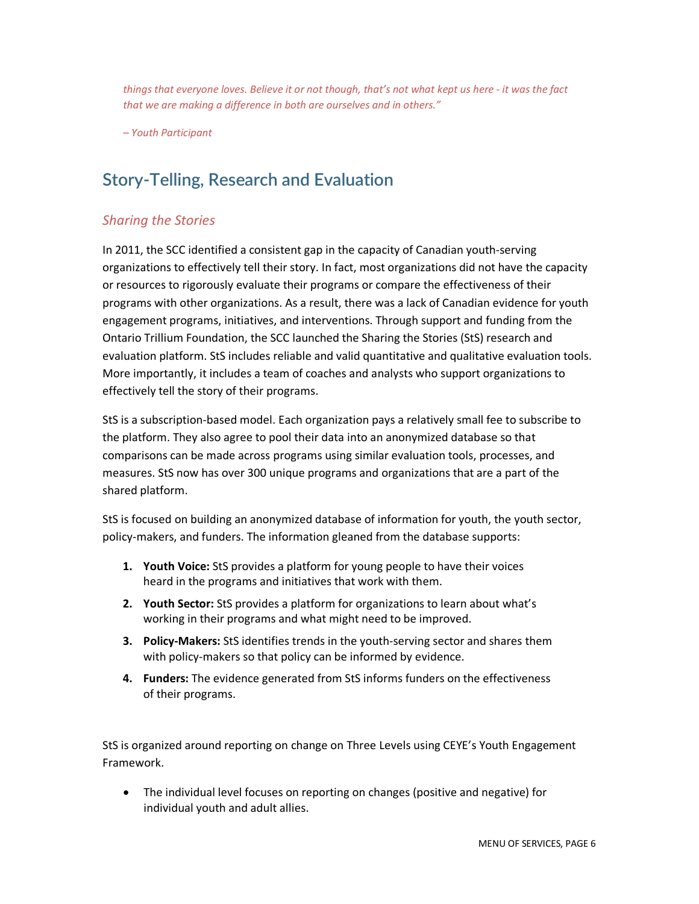*things that everyone loves. Believe it or not though, that's not what kept us here - it was the fact that we are making a difference in both are ourselves and in others."* 

*– Youth Participant* 

# **Story-Telling, Research and Evaluation**

### *Sharing the Stories*

In 2011, the SCC identified a consistent gap in the capacity of Canadian youth-serving organizations to effectively tell their story. In fact, most organizations did not have the capacity or resources to rigorously evaluate their programs or compare the effectiveness of their programs with other organizations. As a result, there was a lack of Canadian evidence for youth engagement programs, initiatives, and interventions. Through support and funding from the Ontario Trillium Foundation, the SCC launched the Sharing the Stories (StS) research and evaluation platform. StS includes reliable and valid quantitative and qualitative evaluation tools. More importantly, it includes a team of coaches and analysts who support organizations to effectively tell the story of their programs.

StS is a subscription-based model. Each organization pays a relatively small fee to subscribe to the platform. They also agree to pool their data into an anonymized database so that comparisons can be made across programs using similar evaluation tools, processes, and measures. StS now has over 300 unique programs and organizations that are a part of the shared platform.

StS is focused on building an anonymized database of information for youth, the youth sector, policy-makers, and funders. The information gleaned from the database supports:

- **1. Youth Voice:** StS provides a platform for young people to have their voices heard in the programs and initiatives that work with them.
- **2. Youth Sector:** StS provides a platform for organizations to learn about what's working in their programs and what might need to be improved.
- **3. Policy-Makers:** StS identifies trends in the youth-serving sector and shares them with policy-makers so that policy can be informed by evidence.
- **4. Funders:** The evidence generated from StS informs funders on the effectiveness of their programs.

StS is organized around reporting on change on Three Levels using CEYE's Youth Engagement Framework.

• The individual level focuses on reporting on changes (positive and negative) for individual youth and adult allies.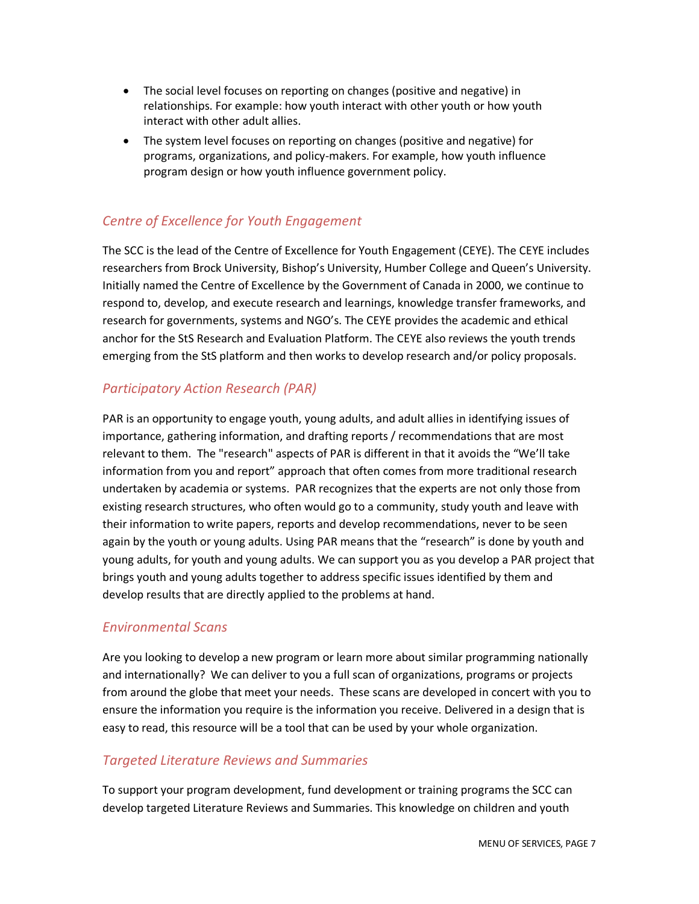- The social level focuses on reporting on changes (positive and negative) in relationships. For example: how youth interact with other youth or how youth interact with other adult allies.
- The system level focuses on reporting on changes (positive and negative) for programs, organizations, and policy-makers. For example, how youth influence program design or how youth influence government policy.

### *Centre of Excellence for Youth Engagement*

The SCC is the lead of the Centre of Excellence for Youth Engagement (CEYE). The CEYE includes researchers from Brock University, Bishop's University, Humber College and Queen's University. Initially named the Centre of Excellence by the Government of Canada in 2000, we continue to respond to, develop, and execute research and learnings, knowledge transfer frameworks, and research for governments, systems and NGO's. The CEYE provides the academic and ethical anchor for the StS Research and Evaluation Platform. The CEYE also reviews the youth trends emerging from the StS platform and then works to develop research and/or policy proposals.

### *Participatory Action Research (PAR)*

PAR is an opportunity to engage youth, young adults, and adult allies in identifying issues of importance, gathering information, and drafting reports / recommendations that are most relevant to them. The "research" aspects of PAR is different in that it avoids the "We'll take information from you and report" approach that often comes from more traditional research undertaken by academia or systems. PAR recognizes that the experts are not only those from existing research structures, who often would go to a community, study youth and leave with their information to write papers, reports and develop recommendations, never to be seen again by the youth or young adults. Using PAR means that the "research" is done by youth and young adults, for youth and young adults. We can support you as you develop a PAR project that brings youth and young adults together to address specific issues identified by them and develop results that are directly applied to the problems at hand.

### *Environmental Scans*

Are you looking to develop a new program or learn more about similar programming nationally and internationally? We can deliver to you a full scan of organizations, programs or projects from around the globe that meet your needs. These scans are developed in concert with you to ensure the information you require is the information you receive. Delivered in a design that is easy to read, this resource will be a tool that can be used by your whole organization.

### *Targeted Literature Reviews and Summaries*

To support your program development, fund development or training programs the SCC can develop targeted Literature Reviews and Summaries. This knowledge on children and youth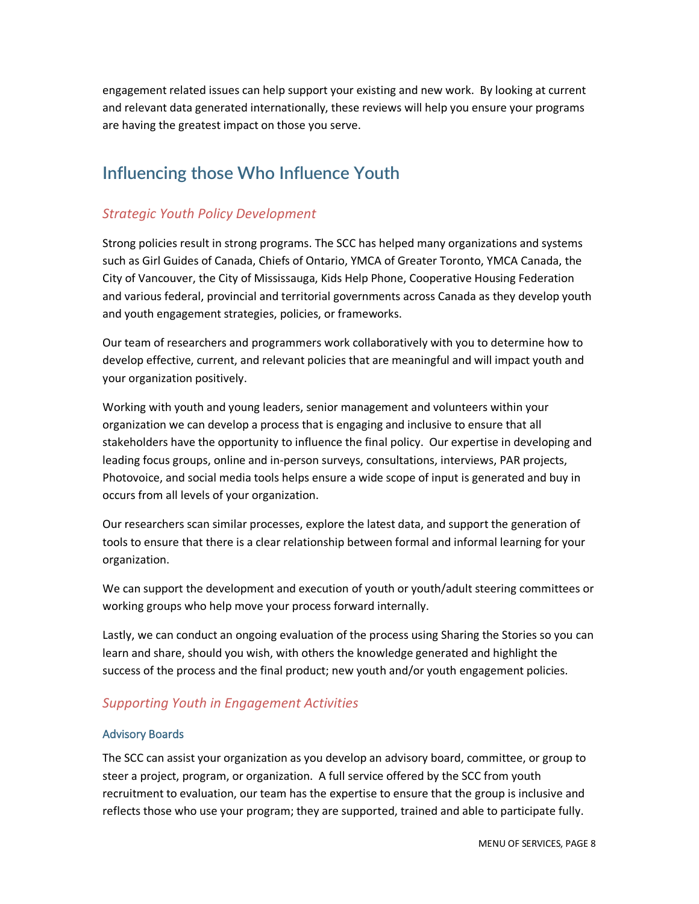engagement related issues can help support your existing and new work. By looking at current and relevant data generated internationally, these reviews will help you ensure your programs are having the greatest impact on those you serve.

# **Influencing those Who Influence Youth**

# *Strategic Youth Policy Development*

Strong policies result in strong programs. The SCC has helped many organizations and systems such as Girl Guides of Canada, Chiefs of Ontario, YMCA of Greater Toronto, YMCA Canada, the City of Vancouver, the City of Mississauga, Kids Help Phone, Cooperative Housing Federation and various federal, provincial and territorial governments across Canada as they develop youth and youth engagement strategies, policies, or frameworks.

Our team of researchers and programmers work collaboratively with you to determine how to develop effective, current, and relevant policies that are meaningful and will impact youth and your organization positively.

Working with youth and young leaders, senior management and volunteers within your organization we can develop a process that is engaging and inclusive to ensure that all stakeholders have the opportunity to influence the final policy. Our expertise in developing and leading focus groups, online and in-person surveys, consultations, interviews, PAR projects, Photovoice, and social media tools helps ensure a wide scope of input is generated and buy in occurs from all levels of your organization.

Our researchers scan similar processes, explore the latest data, and support the generation of tools to ensure that there is a clear relationship between formal and informal learning for your organization.

We can support the development and execution of youth or youth/adult steering committees or working groups who help move your process forward internally.

Lastly, we can conduct an ongoing evaluation of the process using Sharing the Stories so you can learn and share, should you wish, with others the knowledge generated and highlight the success of the process and the final product; new youth and/or youth engagement policies.

### *Supporting Youth in Engagement Activities*

### Advisory Boards

The SCC can assist your organization as you develop an advisory board, committee, or group to steer a project, program, or organization. A full service offered by the SCC from youth recruitment to evaluation, our team has the expertise to ensure that the group is inclusive and reflects those who use your program; they are supported, trained and able to participate fully.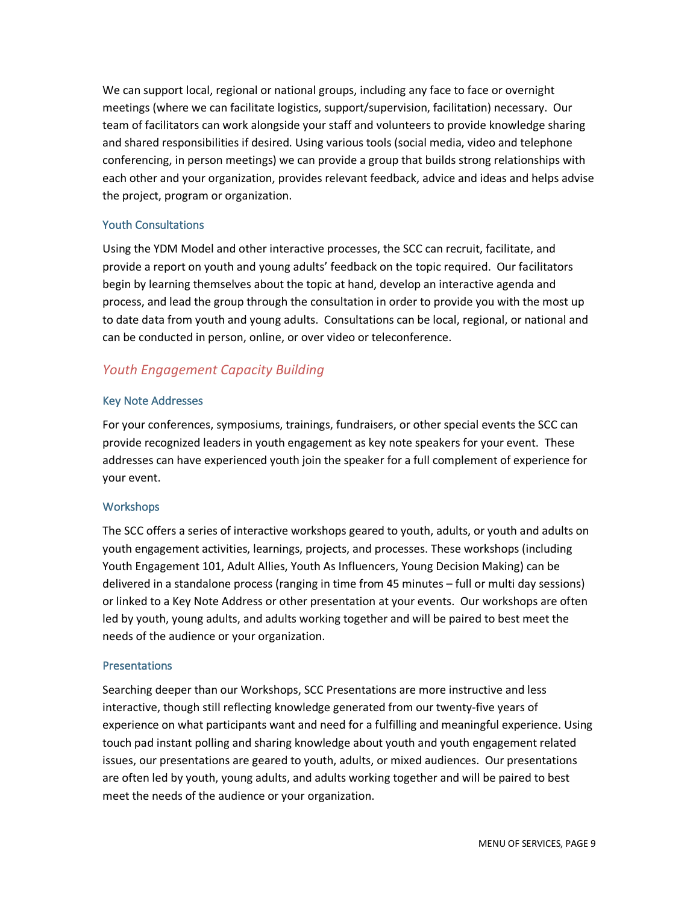We can support local, regional or national groups, including any face to face or overnight meetings (where we can facilitate logistics, support/supervision, facilitation) necessary. Our team of facilitators can work alongside your staff and volunteers to provide knowledge sharing and shared responsibilities if desired. Using various tools (social media, video and telephone conferencing, in person meetings) we can provide a group that builds strong relationships with each other and your organization, provides relevant feedback, advice and ideas and helps advise the project, program or organization.

### Youth Consultations

Using the YDM Model and other interactive processes, the SCC can recruit, facilitate, and provide a report on youth and young adults' feedback on the topic required. Our facilitators begin by learning themselves about the topic at hand, develop an interactive agenda and process, and lead the group through the consultation in order to provide you with the most up to date data from youth and young adults. Consultations can be local, regional, or national and can be conducted in person, online, or over video or teleconference.

# *Youth Engagement Capacity Building*

### Key Note Addresses

For your conferences, symposiums, trainings, fundraisers, or other special events the SCC can provide recognized leaders in youth engagement as key note speakers for your event. These addresses can have experienced youth join the speaker for a full complement of experience for your event.

### **Workshops**

The SCC offers a series of interactive workshops geared to youth, adults, or youth and adults on youth engagement activities, learnings, projects, and processes. These workshops (including Youth Engagement 101, Adult Allies, Youth As Influencers, Young Decision Making) can be delivered in a standalone process (ranging in time from 45 minutes – full or multi day sessions) or linked to a Key Note Address or other presentation at your events. Our workshops are often led by youth, young adults, and adults working together and will be paired to best meet the needs of the audience or your organization.

### Presentations

Searching deeper than our Workshops, SCC Presentations are more instructive and less interactive, though still reflecting knowledge generated from our twenty-five years of experience on what participants want and need for a fulfilling and meaningful experience. Using touch pad instant polling and sharing knowledge about youth and youth engagement related issues, our presentations are geared to youth, adults, or mixed audiences. Our presentations are often led by youth, young adults, and adults working together and will be paired to best meet the needs of the audience or your organization.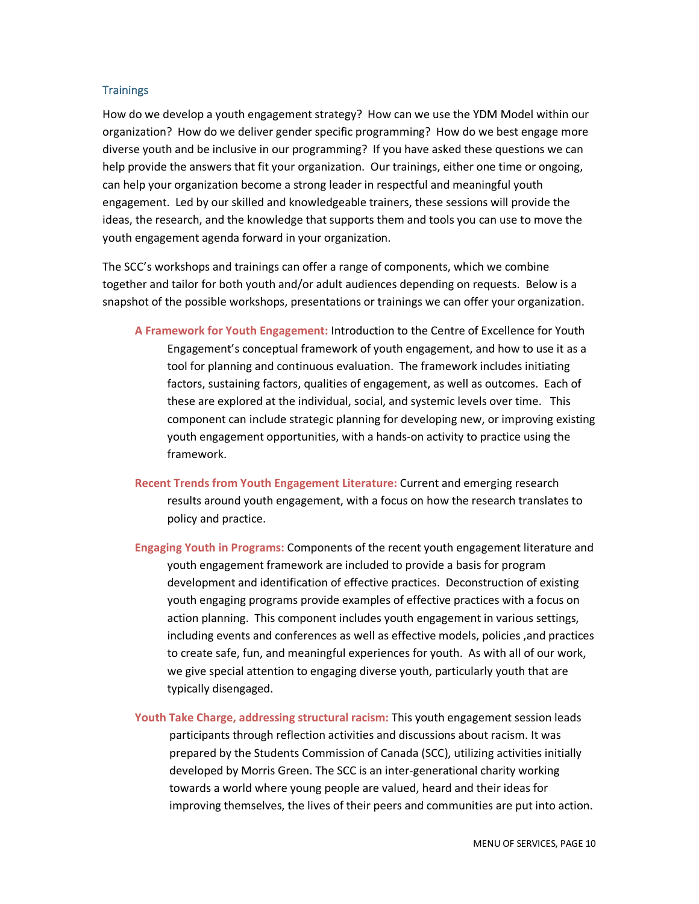#### **Trainings**

How do we develop a youth engagement strategy? How can we use the YDM Model within our organization? How do we deliver gender specific programming? How do we best engage more diverse youth and be inclusive in our programming? If you have asked these questions we can help provide the answers that fit your organization. Our trainings, either one time or ongoing, can help your organization become a strong leader in respectful and meaningful youth engagement. Led by our skilled and knowledgeable trainers, these sessions will provide the ideas, the research, and the knowledge that supports them and tools you can use to move the youth engagement agenda forward in your organization.

The SCC's workshops and trainings can offer a range of components, which we combine together and tailor for both youth and/or adult audiences depending on requests. Below is a snapshot of the possible workshops, presentations or trainings we can offer your organization.

- **A Framework for Youth Engagement:** Introduction to the Centre of Excellence for Youth Engagement's conceptual framework of youth engagement, and how to use it as a tool for planning and continuous evaluation. The framework includes initiating factors, sustaining factors, qualities of engagement, as well as outcomes. Each of these are explored at the individual, social, and systemic levels over time. This component can include strategic planning for developing new, or improving existing youth engagement opportunities, with a hands-on activity to practice using the framework.
- **Recent Trends from Youth Engagement Literature:** Current and emerging research results around youth engagement, with a focus on how the research translates to policy and practice.
- **Engaging Youth in Programs:** Components of the recent youth engagement literature and youth engagement framework are included to provide a basis for program development and identification of effective practices. Deconstruction of existing youth engaging programs provide examples of effective practices with a focus on action planning. This component includes youth engagement in various settings, including events and conferences as well as effective models, policies ,and practices to create safe, fun, and meaningful experiences for youth. As with all of our work, we give special attention to engaging diverse youth, particularly youth that are typically disengaged.
- **Youth Take Charge, addressing structural racism:** This youth engagement session leads participants through reflection activities and discussions about racism. It was prepared by the Students Commission of Canada (SCC), utilizing activities initially developed by Morris Green. The SCC is an inter-generational charity working towards a world where young people are valued, heard and their ideas for improving themselves, the lives of their peers and communities are put into action.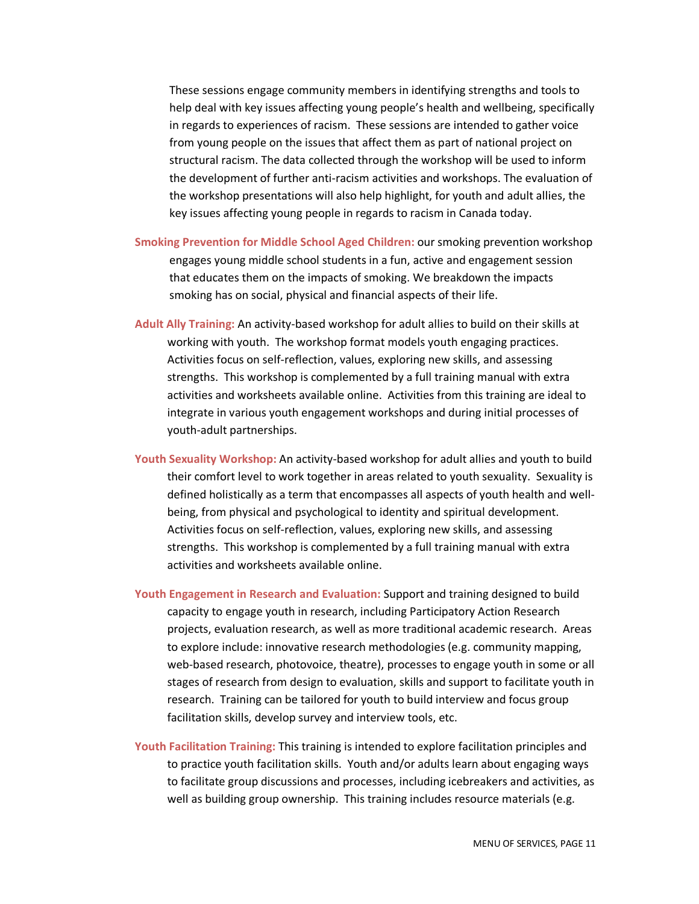These sessions engage community members in identifying strengths and tools to help deal with key issues affecting young people's health and wellbeing, specifically in regards to experiences of racism. These sessions are intended to gather voice from young people on the issues that affect them as part of national project on structural racism. The data collected through the workshop will be used to inform the development of further anti-racism activities and workshops. The evaluation of the workshop presentations will also help highlight, for youth and adult allies, the key issues affecting young people in regards to racism in Canada today.

- **Smoking Prevention for Middle School Aged Children:** our smoking prevention workshop engages young middle school students in a fun, active and engagement session that educates them on the impacts of smoking. We breakdown the impacts smoking has on social, physical and financial aspects of their life.
- **Adult Ally Training:** An activity-based workshop for adult allies to build on their skills at working with youth. The workshop format models youth engaging practices. Activities focus on self-reflection, values, exploring new skills, and assessing strengths. This workshop is complemented by a full training manual with extra activities and worksheets available online. Activities from this training are ideal to integrate in various youth engagement workshops and during initial processes of youth-adult partnerships.
- **Youth Sexuality Workshop:** An activity-based workshop for adult allies and youth to build their comfort level to work together in areas related to youth sexuality. Sexuality is defined holistically as a term that encompasses all aspects of youth health and wellbeing, from physical and psychological to identity and spiritual development. Activities focus on self-reflection, values, exploring new skills, and assessing strengths. This workshop is complemented by a full training manual with extra activities and worksheets available online.
- **Youth Engagement in Research and Evaluation:** Support and training designed to build capacity to engage youth in research, including Participatory Action Research projects, evaluation research, as well as more traditional academic research. Areas to explore include: innovative research methodologies (e.g. community mapping, web-based research, photovoice, theatre), processes to engage youth in some or all stages of research from design to evaluation, skills and support to facilitate youth in research. Training can be tailored for youth to build interview and focus group facilitation skills, develop survey and interview tools, etc.
- **Youth Facilitation Training:** This training is intended to explore facilitation principles and to practice youth facilitation skills. Youth and/or adults learn about engaging ways to facilitate group discussions and processes, including icebreakers and activities, as well as building group ownership. This training includes resource materials (e.g.